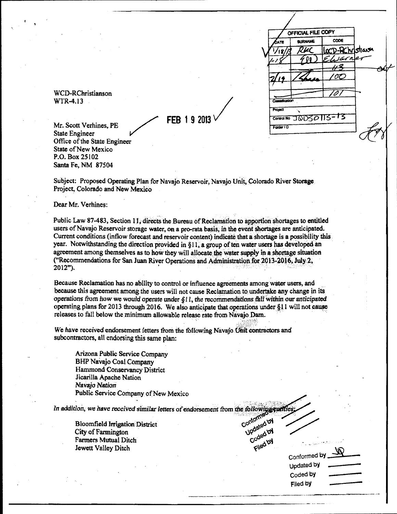OFFICIAL FILE COPY **SURNAME** cope {дπв D-RChristiansa R VZ C צו Œ Control No JQD30113-13

WCD-RChristianson WTR-4.13

Mr. Scott Verhines. PE State Engineer Office of the State Engineer State of New Mexico P.O. Box 25102 Santa Fe, NM 87504

**FFR 19 2013** 

Subject: Proposed Operating Plan for Navajo Reservoir, Navajo Unit, Colorado River Storage Project, Colorado and New Mexico

Dear Mr. Verhines:

Public Law 87-483, Section 11, directs the Bureau of Reclamation to apportion shortages to entitled users of Navajo Reservoir storage water, on a pro-rata basis, in the event shortages are anticipated. Current conditions (inflow forecast and reservoir content) indicate that a shortage is a possibility this year. Notwithstanding the direction provided in  $\S 11$ , a group of ten water users has developed an agreement among themselves as to how they will allocate the water supply in a shortage situation ("Recommendations for San Juan River Operations and Administration for 2013-2016, July 2, 2012").

Because Reclamation has no ability to control or influence agreements among water users, and because this agreement among the users will not cause Reclamation to undertake any change in its operations from how we would operate under  $§11$ , the recommendations fall within our anticipated operating plans for 2013 through 2016. We also anticipate that operations under §11 will not cause releases to fall below the minimum allowable release rate from Navajo Dam.

 $.16.8347$ 

We have received endorsement fetters from the following Navajo Unit contractors and subcontractors, all endorsing this same plan:

Arizona Public Service Company BHP Navajo Coal Company Hammond Conservancy District Jicarilla Apache Nation **Navajo Nation** Public Service Company of New Mexico

In addition, we have received similar letters of endorsement from the following starting Bloomfield Irrigation District Contained Multiple Contained Multiple Contained Multiple Contained Multiple Contained Multiple Contai

Farmers Mutual Ditch<br>Jewett Valley Ditch Code V City of Farmington Jewett Valley Ditch

Conformed by Updated by Coded by Filed by

·-----~---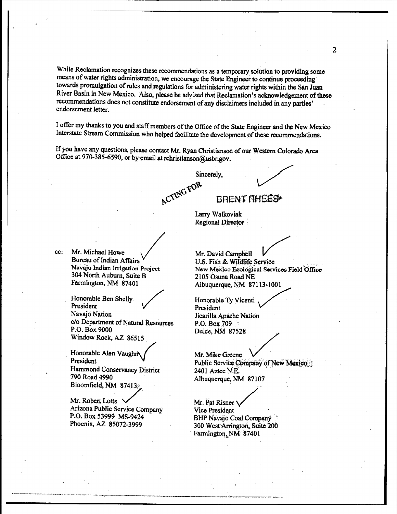While Reclamation recognizes these recommendations as a temporary solution to providing some means of water rights administration, we encourage the State Engineer to continue proceeding· towards promulgation of rules and regulations for administering water rights within the San Juan River Basin in New Mexico. Also, please be advised that Reclamation's acknowledgement of these recommendations does not constitute endorsement of any disclaimers included in any parties' endorsement letter.

I offer my thanks to you and staff members of the Office of the State Engineer and the New Mexico Interstate Stream Commission who helped facilitate the development of these recommendations.

If you have any questions, please contact Mr. Ryan Christianson of our Western Colorado Area Office at 970-385-6590, or by email at rchristianson@usbr.gov.

Sincerely,

ACTING FOR

## **BRENT RHEES**

Larry Walkoviak Regional Oirector

cc: Mr. Michael Howe / Bureau of Indian Affairs · Navajo Indian Irrigation Project 304 North Auburn, Suite B Farmington, NM 87401

> Honorable Ben Shelly President Navajo Nation c/o Department of Natural Resources P.O. Box 9000 Window Rock, AZ 86515

Honorable Alan Vaughn President Hammond Conservancy District 790 Road.4990 · Bloomfield, NM 87413'

Mr. Robert Lotts Arizona Public Service Company P.O. Box 53999 MS-9424 Phoenix, AZ 85072-3999

·--------··~-·--·~-·~-............. \_ \_,.\_.... \_\_\_\_\_ .~--,.--

Mr. David Campbell U.S. Fish & Wildlife Service<br>
U.S. Fish & Wildlife Service<br>
New Mexico Ecological Services Field Office<br>
2105 Osuna Road NE<br>
Albuquerque, NM 87113-1001<br>
Honorable Ty Vicenti<br>
President<br>
licarilla Apache Nation 2105 Osuna Road NE Albuquerque,NM 87113·1001

President Jicarilla Apache Nation P.O. Box 709 Dulce, NM 87528

Mr. Mike Greene Public Service Company of New Mexico 2401 Aztec N;E. Albuquerque,NM 87107

Mr. Pat Risner/ Vice President BHP Navajo Coal Company 300 West Arrington, Suite 200 Farmington, NM 87401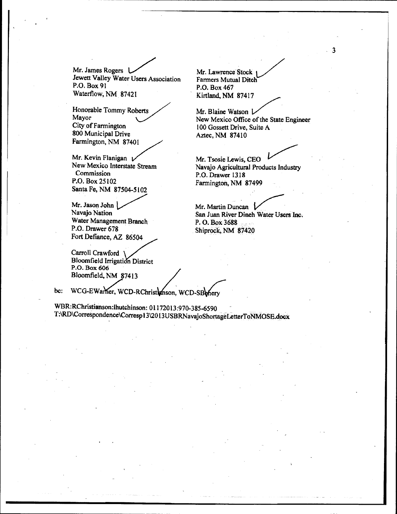Mr. James Rogers | Jewett Valley Water Users Association P.O. Box 91 Waterflow, NM 87421

Honorable Tommy Roberts<br>Mayor City of Farmington 800 Municipal Drive Farmington, NM 87401

Mr. Kevin Flanigan  $\sqrt{\ }$  New Mexico Interstate Stream Commission P.O. Box 25102 Santa Fe, NM 87504-5102

Mr. Jason John Navajo Nation Water Management Branch P.O. Drawer 678 Fort Defiance, AZ *86504* 

Carroll Crawford \ Bloomfield Irrigation District Carroll Crawford<br>Bloomfield Irrigation District<br>P.O. Box 606<br>Bloomfield, NM 87413 Bloomfield, NM 87413

Mr. Lawrence Stock Fanners Mutual Ditch P.O. Box467 Kirtland, NM 87417

Mr. Blaine Watson L New Mexico Office of the State Engineer I 00 Gossett Drive, Suite A Aztec, NM 87410

3

Mr. Tsosie Lewis, CEO<br>
Navajo Agricultural Products Industry P.O. Drawer 1318 Fannington, NM 87499

Mr. Martin Duncan  $\iota$ San Juan River Dineh Water Users Inc. P. 0. Box3688 Shiprock, NM 87420

bc: WCG-EWarner, WCD-RChrist mson, WCD-SB

WBR:RChristianson:lhutchinson: 01172013:970-385-6590 T:\RD\Correspondence\Corresp13\2013USBRNavajoShortageLetterToNMOSE.docx